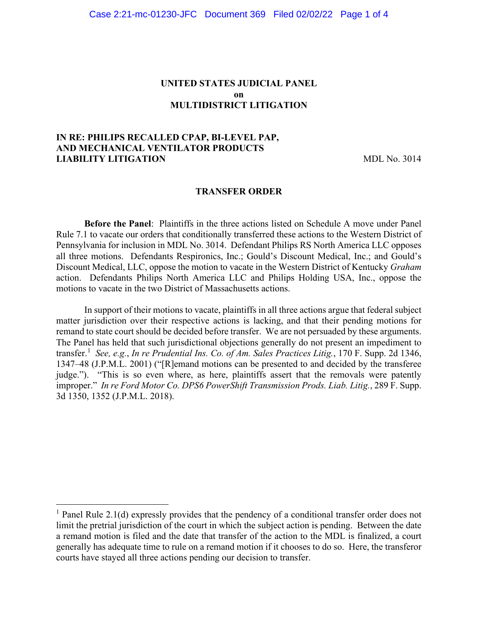### **UNITED STATES JUDICIAL PANEL on MULTIDISTRICT LITIGATION**

## **IN RE: PHILIPS RECALLED CPAP, BI-LEVEL PAP, AND MECHANICAL VENTILATOR PRODUCTS LIABILITY LITIGATION** MDL No. 3014

#### **TRANSFER ORDER**

**Before the Panel**: Plaintiffs in the three actions listed on Schedule A move under Panel Rule 7.1 to vacate our orders that conditionally transferred these actions to the Western District of Pennsylvania for inclusion in MDL No. 3014. Defendant Philips RS North America LLC opposes all three motions. Defendants Respironics, Inc.; Gould's Discount Medical, Inc.; and Gould's Discount Medical, LLC, oppose the motion to vacate in the Western District of Kentucky *Graham* action. Defendants Philips North America LLC and Philips Holding USA, Inc., oppose the motions to vacate in the two District of Massachusetts actions.

In support of their motions to vacate, plaintiffs in all three actions argue that federal subject matter jurisdiction over their respective actions is lacking, and that their pending motions for remand to state court should be decided before transfer. We are not persuaded by these arguments. The Panel has held that such jurisdictional objections generally do not present an impediment to transfer.[1](#page-0-0) *See, e.g.*, *In re Prudential Ins. Co. of Am. Sales Practices Litig.*, 170 F. Supp. 2d 1346, 1347–48 (J.P.M.L. 2001) ("[R]emand motions can be presented to and decided by the transferee judge."). "This is so even where, as here, plaintiffs assert that the removals were patently improper." *In re Ford Motor Co. DPS6 PowerShift Transmission Prods. Liab. Litig.*, 289 F. Supp. 3d 1350, 1352 (J.P.M.L. 2018).

<span id="page-0-0"></span><sup>&</sup>lt;sup>1</sup> Panel Rule 2.1(d) expressly provides that the pendency of a conditional transfer order does not limit the pretrial jurisdiction of the court in which the subject action is pending. Between the date a remand motion is filed and the date that transfer of the action to the MDL is finalized, a court generally has adequate time to rule on a remand motion if it chooses to do so. Here, the transferor courts have stayed all three actions pending our decision to transfer.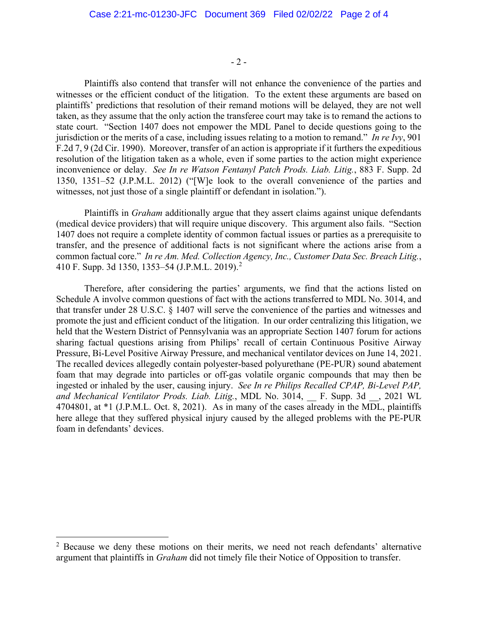- 2 -

Plaintiffs also contend that transfer will not enhance the convenience of the parties and witnesses or the efficient conduct of the litigation. To the extent these arguments are based on plaintiffs' predictions that resolution of their remand motions will be delayed, they are not well taken, as they assume that the only action the transferee court may take is to remand the actions to state court. "Section 1407 does not empower the MDL Panel to decide questions going to the jurisdiction or the merits of a case, including issues relating to a motion to remand." *In re Ivy*, 901 F.2d 7, 9 (2d Cir. 1990). Moreover, transfer of an action is appropriate if it furthers the expeditious resolution of the litigation taken as a whole, even if some parties to the action might experience inconvenience or delay. *See In re Watson Fentanyl Patch Prods. Liab. Litig.*, 883 F. Supp. 2d 1350, 1351–52 (J.P.M.L. 2012) ("[W]e look to the overall convenience of the parties and witnesses, not just those of a single plaintiff or defendant in isolation.").

Plaintiffs in *Graham* additionally argue that they assert claims against unique defendants (medical device providers) that will require unique discovery. This argument also fails. "Section 1407 does not require a complete identity of common factual issues or parties as a prerequisite to transfer, and the presence of additional facts is not significant where the actions arise from a common factual core." *In re Am. Med. Collection Agency, Inc., Customer Data Sec. Breach Litig.*, 410 F. Supp. 3d 1350, 1353–54 (J.P.M.L. 2019).[2](#page-1-0)

Therefore, after considering the parties' arguments, we find that the actions listed on Schedule A involve common questions of fact with the actions transferred to MDL No. 3014, and that transfer under 28 U.S.C. § 1407 will serve the convenience of the parties and witnesses and promote the just and efficient conduct of the litigation. In our order centralizing this litigation, we held that the Western District of Pennsylvania was an appropriate Section 1407 forum for actions sharing factual questions arising from Philips' recall of certain Continuous Positive Airway Pressure, Bi-Level Positive Airway Pressure, and mechanical ventilator devices on June 14, 2021. The recalled devices allegedly contain polyester-based polyurethane (PE-PUR) sound abatement foam that may degrade into particles or off-gas volatile organic compounds that may then be ingested or inhaled by the user, causing injury. *See In re Philips Recalled CPAP, Bi-Level PAP, and Mechanical Ventilator Prods. Liab. Litig.*, MDL No. 3014, \_\_ F. Supp. 3d \_\_, 2021 WL 4704801, at \*1 (J.P.M.L. Oct. 8, 2021). As in many of the cases already in the MDL, plaintiffs here allege that they suffered physical injury caused by the alleged problems with the PE-PUR foam in defendants' devices.

<span id="page-1-0"></span><sup>&</sup>lt;sup>2</sup> Because we deny these motions on their merits, we need not reach defendants' alternative argument that plaintiffs in *Graham* did not timely file their Notice of Opposition to transfer.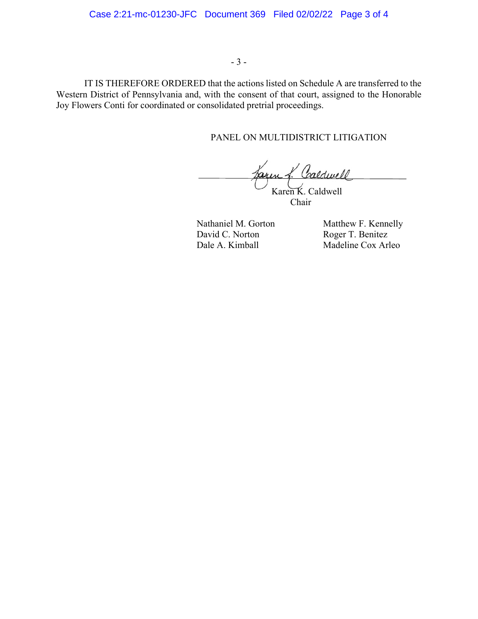#### - 3 -

IT IS THEREFORE ORDERED that the actions listed on Schedule A are transferred to the Western District of Pennsylvania and, with the consent of that court, assigned to the Honorable Joy Flowers Conti for coordinated or consolidated pretrial proceedings.

## PANEL ON MULTIDISTRICT LITIGATION

Jaxen f. Caldwell İ Karen K. Caldwell

Chair

David C. Norton Roger T. Benitez<br>
Dale A. Kimball Madeline Cox Arl

Nathaniel M. Gorton Matthew F. Kennelly Madeline Cox Arleo